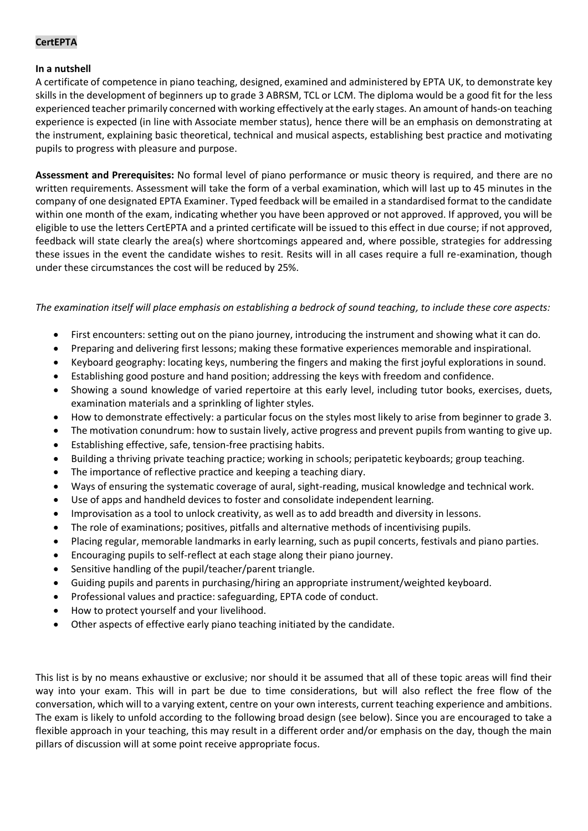# **CertEPTA**

#### **In a nutshell**

A certificate of competence in piano teaching, designed, examined and administered by EPTA UK, to demonstrate key skills in the development of beginners up to grade 3 ABRSM, TCL or LCM. The diploma would be a good fit for the less experienced teacher primarily concerned with working effectively at the early stages. An amount of hands-on teaching experience is expected (in line with Associate member status), hence there will be an emphasis on demonstrating at the instrument, explaining basic theoretical, technical and musical aspects, establishing best practice and motivating pupils to progress with pleasure and purpose.

**Assessment and Prerequisites:** No formal level of piano performance or music theory is required, and there are no written requirements. Assessment will take the form of a verbal examination, which will last up to 45 minutes in the company of one designated EPTA Examiner. Typed feedback will be emailed in a standardised format to the candidate within one month of the exam, indicating whether you have been approved or not approved. If approved, you will be eligible to use the letters CertEPTA and a printed certificate will be issued to this effect in due course; if not approved, feedback will state clearly the area(s) where shortcomings appeared and, where possible, strategies for addressing these issues in the event the candidate wishes to resit. Resits will in all cases require a full re-examination, though under these circumstances the cost will be reduced by 25%.

## *The examination itself will place emphasis on establishing a bedrock of sound teaching, to include these core aspects:*

- First encounters: setting out on the piano journey, introducing the instrument and showing what it can do.
- Preparing and delivering first lessons; making these formative experiences memorable and inspirational.
- Keyboard geography: locating keys, numbering the fingers and making the first joyful explorations in sound.
- Establishing good posture and hand position; addressing the keys with freedom and confidence.
- Showing a sound knowledge of varied repertoire at this early level, including tutor books, exercises, duets, examination materials and a sprinkling of lighter styles.
- How to demonstrate effectively: a particular focus on the styles most likely to arise from beginner to grade 3.
- The motivation conundrum: how to sustain lively, active progress and prevent pupils from wanting to give up.
- Establishing effective, safe, tension-free practising habits.
- Building a thriving private teaching practice; working in schools; peripatetic keyboards; group teaching.
- The importance of reflective practice and keeping a teaching diary.
- Ways of ensuring the systematic coverage of aural, sight-reading, musical knowledge and technical work.
- Use of apps and handheld devices to foster and consolidate independent learning.
- Improvisation as a tool to unlock creativity, as well as to add breadth and diversity in lessons.
- The role of examinations; positives, pitfalls and alternative methods of incentivising pupils.
- Placing regular, memorable landmarks in early learning, such as pupil concerts, festivals and piano parties.
- Encouraging pupils to self-reflect at each stage along their piano journey.
- Sensitive handling of the pupil/teacher/parent triangle.
- Guiding pupils and parents in purchasing/hiring an appropriate instrument/weighted keyboard.
- Professional values and practice: safeguarding, EPTA code of conduct.
- How to protect yourself and your livelihood.
- Other aspects of effective early piano teaching initiated by the candidate.

This list is by no means exhaustive or exclusive; nor should it be assumed that all of these topic areas will find their way into your exam. This will in part be due to time considerations, but will also reflect the free flow of the conversation, which will to a varying extent, centre on your own interests, current teaching experience and ambitions. The exam is likely to unfold according to the following broad design (see below). Since you are encouraged to take a flexible approach in your teaching, this may result in a different order and/or emphasis on the day, though the main pillars of discussion will at some point receive appropriate focus.